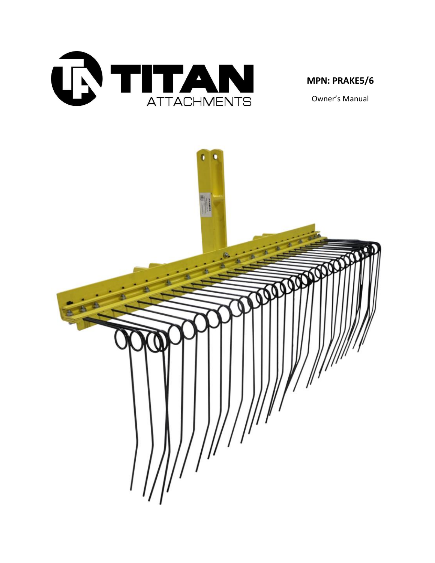

## **MPN: PRAKE5/6**

Owner's Manual

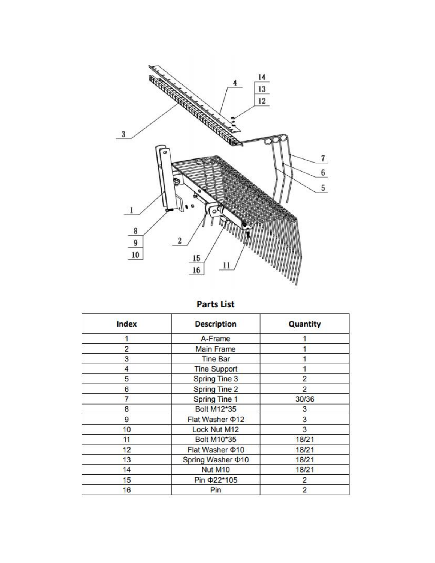

**Parts List** 

| <b>Index</b>   | <b>Description</b>      | Quantity       |
|----------------|-------------------------|----------------|
|                | A-Frame                 |                |
| $\overline{2}$ | <b>Main Frame</b>       |                |
| 3              | <b>Tine Bar</b>         |                |
| 4              | <b>Tine Support</b>     |                |
| 5              | <b>Spring Tine 3</b>    | $\overline{2}$ |
| 6              | <b>Spring Tine 2</b>    | $\overline{2}$ |
| 7              | <b>Spring Tine 1</b>    | 30/36          |
| 8              | Bolt M12*35             | 3              |
| 9              | Flat Washer $\Phi$ 12   | 3              |
| 10             | Lock Nut M12            | 3              |
| 11             | <b>Bolt M10*35</b>      | 18/21          |
| 12             | Flat Washer $\Phi$ 10   | 18/21          |
| 13             | Spring Washer $\Phi$ 10 | 18/21          |
| 14             | Nut M10                 | 18/21          |
| 15             | Pin $\Phi$ 22*105       | 2              |
| 16             | Pin                     | $\overline{2}$ |